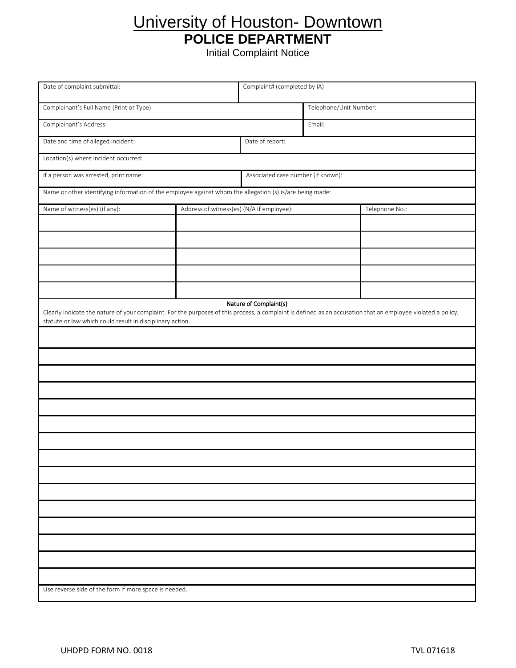## University of Houston- Downtown **POLICE DEPARTMENT**

Initial Complaint Notice

Date of complaint submittal: Complaint# (completed by IA) Complainant's Full Name (Print or Type) Telephone/Unit Number: Complainant's Address: Email: Date and time of alleged incident: Date of report: Location(s) where incident occurred: If a person was arrested, print name: Associated case number (if known): Name or other identifying information of the employee against whom the allegation (s) is/are being made: Name of witness(es) (if any):  $\blacksquare$  Address of witness(es) (N/A if employee): Telephone No.: Nature of Complaint(s) Clearly indicate the nature of your complaint. For the purposes of this process, a complaint is defined as an accusation that an employee violated a policy, statute or law which could result in disciplinary action. Use reverse side of the form if more space is needed.